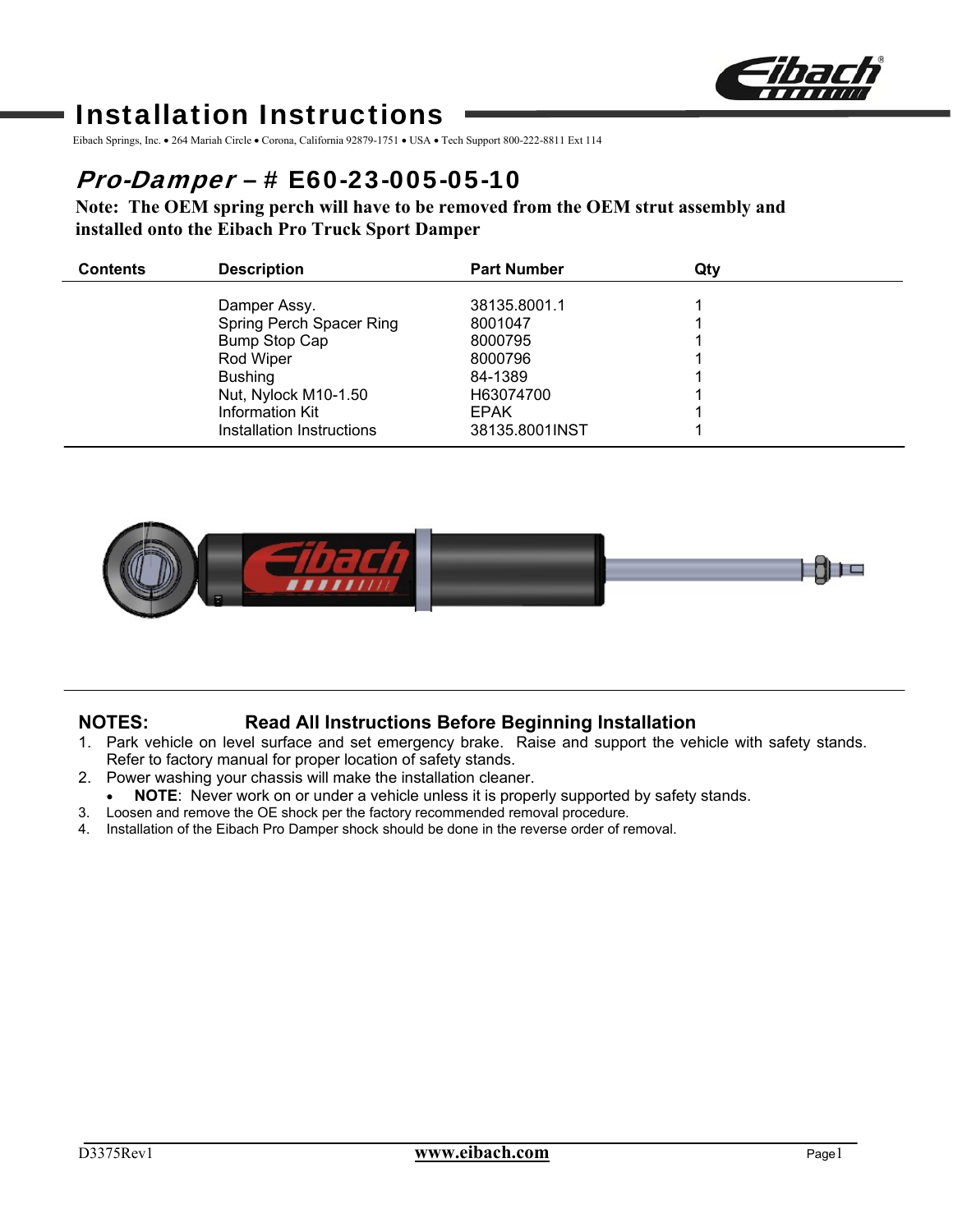

# Installation Instructions

Eibach Springs, Inc. • 264 Mariah Circle • Corona, California 92879-1751 • USA • Tech Support 800-222-8811 Ext 114

## Pro-Damper – # E60-23-005-05-10

**Note: The OEM spring perch will have to be removed from the OEM strut assembly and installed onto the Eibach Pro Truck Sport Damper** 

| <b>Contents</b> | <b>Description</b>        | <b>Part Number</b> | Qtv |  |
|-----------------|---------------------------|--------------------|-----|--|
|                 | Damper Assy.              | 38135,8001.1       |     |  |
|                 | Spring Perch Spacer Ring  | 8001047            |     |  |
|                 | <b>Bump Stop Cap</b>      | 8000795            |     |  |
|                 | Rod Wiper                 | 8000796            |     |  |
|                 | <b>Bushing</b>            | 84-1389            |     |  |
|                 | Nut, Nylock M10-1.50      | H63074700          |     |  |
|                 | Information Kit           | <b>EPAK</b>        |     |  |
|                 | Installation Instructions | 38135.8001INST     |     |  |



## **NOTES: Read All Instructions Before Beginning Installation**

- 1. Park vehicle on level surface and set emergency brake. Raise and support the vehicle with safety stands. Refer to factory manual for proper location of safety stands.
- 2. Power washing your chassis will make the installation cleaner.
	- **NOTE**: Never work on or under a vehicle unless it is properly supported by safety stands.
- 3. Loosen and remove the OE shock per the factory recommended removal procedure.
- 4. Installation of the Eibach Pro Damper shock should be done in the reverse order of removal.